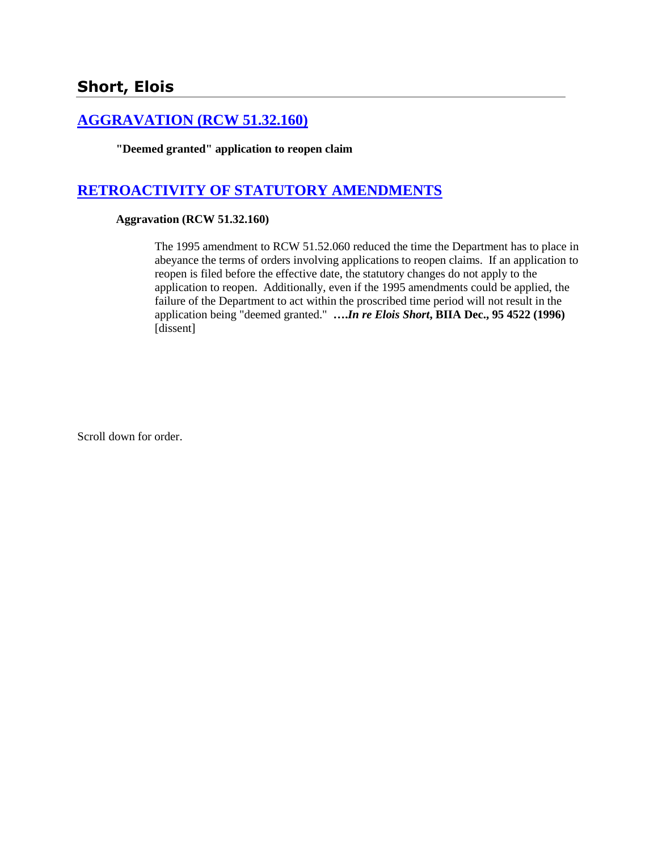## **[AGGRAVATION \(RCW 51.32.160\)](http://www.biia.wa.gov/SDSubjectIndex.html#AGGRAVATION)**

**"Deemed granted" application to reopen claim**

# **[RETROACTIVITY OF STATUTORY AMENDMENTS](http://www.biia.wa.gov/SDSubjectIndex.html#RETROACTIVITY_OF_STATUTORY_AMENDMENTS)**

#### **Aggravation (RCW 51.32.160)**

The 1995 amendment to RCW 51.52.060 reduced the time the Department has to place in abeyance the terms of orders involving applications to reopen claims. If an application to reopen is filed before the effective date, the statutory changes do not apply to the application to reopen. Additionally, even if the 1995 amendments could be applied, the failure of the Department to act within the proscribed time period will not result in the application being "deemed granted." **….***In re Elois Short***, BIIA Dec., 95 4522 (1996)**  [dissent]

Scroll down for order.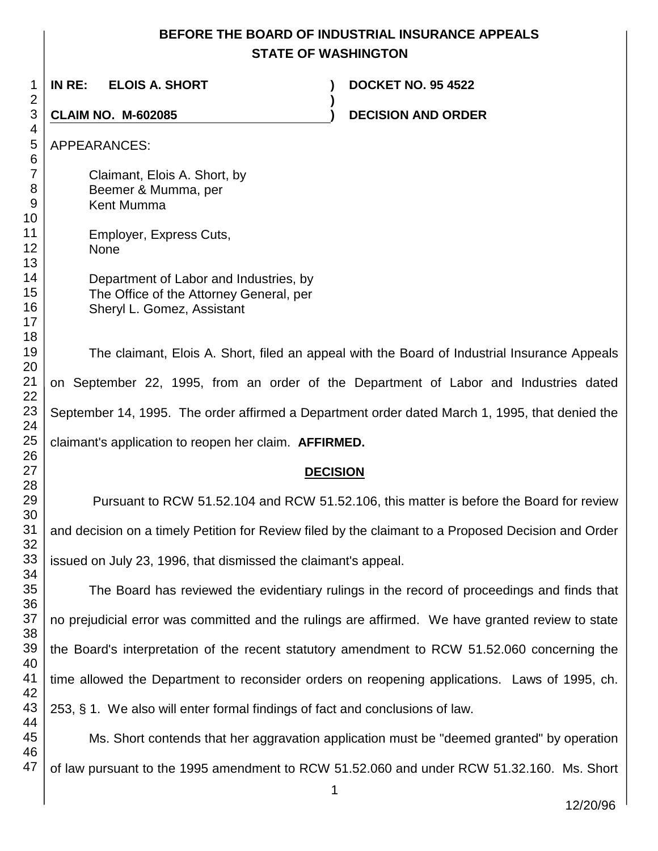## **BEFORE THE BOARD OF INDUSTRIAL INSURANCE APPEALS STATE OF WASHINGTON**

 **IN RE: ELOIS A. SHORT ) DOCKET NO. 95 4522 ) CLAIM NO. M-602085 ) DECISION AND ORDER**  APPEARANCES: Claimant, Elois A. Short, by Beemer & Mumma, per Kent Mumma Employer, Express Cuts, None Department of Labor and Industries, by The Office of the Attorney General, per Sheryl L. Gomez, Assistant The claimant, Elois A. Short, filed an appeal with the Board of Industrial Insurance Appeals on September 22, 1995, from an order of the Department of Labor and Industries dated September 14, 1995. The order affirmed a Department order dated March 1, 1995, that denied the claimant's application to reopen her claim. **AFFIRMED.**

#### **DECISION**

Pursuant to RCW 51.52.104 and RCW 51.52.106, this matter is before the Board for review and decision on a timely Petition for Review filed by the claimant to a Proposed Decision and Order issued on July 23, 1996, that dismissed the claimant's appeal.

The Board has reviewed the evidentiary rulings in the record of proceedings and finds that no prejudicial error was committed and the rulings are affirmed. We have granted review to state the Board's interpretation of the recent statutory amendment to RCW 51.52.060 concerning the time allowed the Department to reconsider orders on reopening applications. Laws of 1995, ch. 253, § 1. We also will enter formal findings of fact and conclusions of law.

Ms. Short contends that her aggravation application must be "deemed granted" by operation of law pursuant to the 1995 amendment to RCW 51.52.060 and under RCW 51.32.160. Ms. Short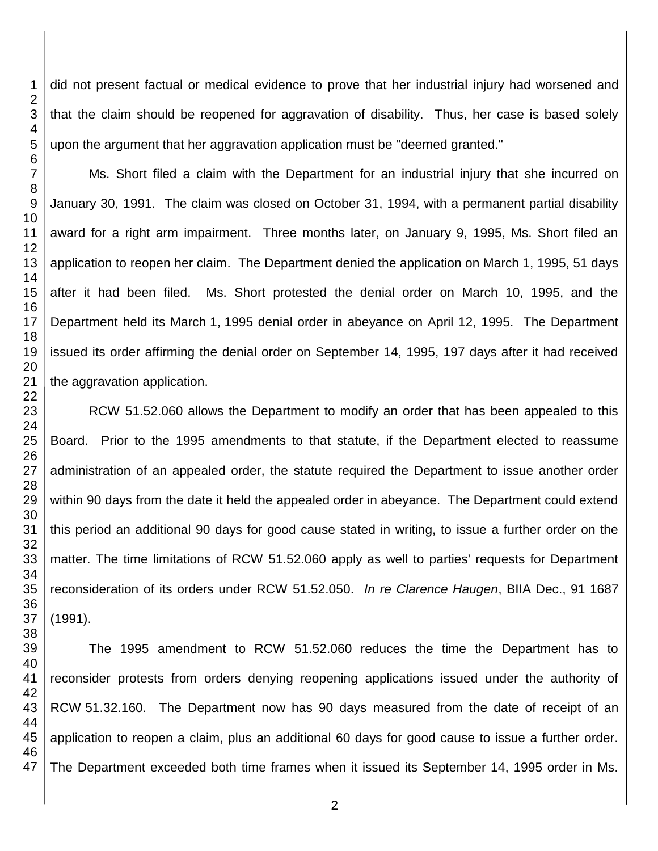did not present factual or medical evidence to prove that her industrial injury had worsened and that the claim should be reopened for aggravation of disability. Thus, her case is based solely upon the argument that her aggravation application must be "deemed granted."

Ms. Short filed a claim with the Department for an industrial injury that she incurred on January 30, 1991. The claim was closed on October 31, 1994, with a permanent partial disability award for a right arm impairment. Three months later, on January 9, 1995, Ms. Short filed an application to reopen her claim. The Department denied the application on March 1, 1995, 51 days after it had been filed. Ms. Short protested the denial order on March 10, 1995, and the Department held its March 1, 1995 denial order in abeyance on April 12, 1995. The Department issued its order affirming the denial order on September 14, 1995, 197 days after it had received the aggravation application.

RCW 51.52.060 allows the Department to modify an order that has been appealed to this Board. Prior to the 1995 amendments to that statute, if the Department elected to reassume administration of an appealed order, the statute required the Department to issue another order within 90 days from the date it held the appealed order in abeyance. The Department could extend this period an additional 90 days for good cause stated in writing, to issue a further order on the matter. The time limitations of RCW 51.52.060 apply as well to parties' requests for Department reconsideration of its orders under RCW 51.52.050. *In re Clarence Haugen*, BIIA Dec., 91 1687 (1991).

 The 1995 amendment to RCW 51.52.060 reduces the time the Department has to reconsider protests from orders denying reopening applications issued under the authority of RCW 51.32.160. The Department now has 90 days measured from the date of receipt of an application to reopen a claim, plus an additional 60 days for good cause to issue a further order. The Department exceeded both time frames when it issued its September 14, 1995 order in Ms.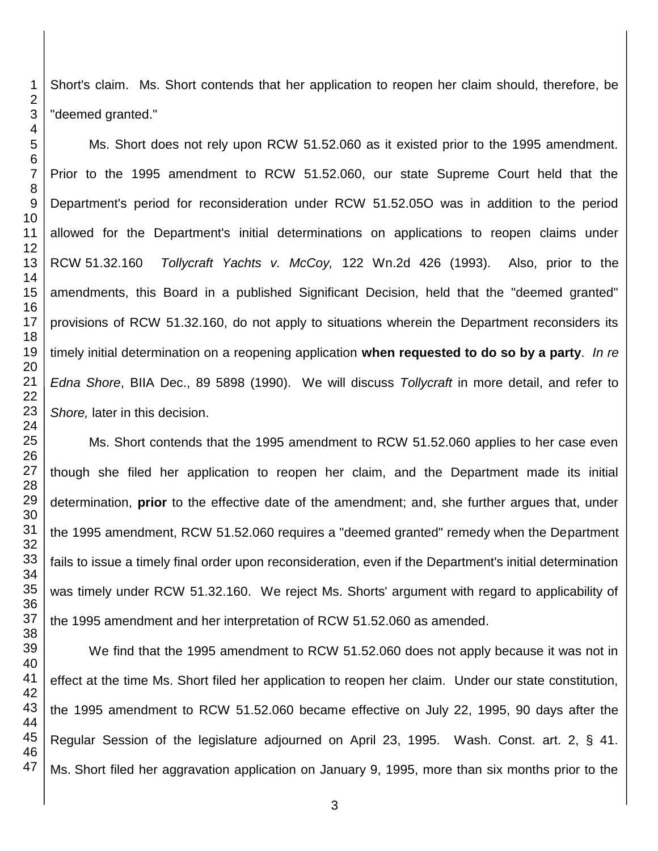Short's claim. Ms. Short contends that her application to reopen her claim should, therefore, be "deemed granted."

Ms. Short does not rely upon RCW 51.52.060 as it existed prior to the 1995 amendment. Prior to the 1995 amendment to RCW 51.52.060, our state Supreme Court held that the Department's period for reconsideration under RCW 51.52.05O was in addition to the period allowed for the Department's initial determinations on applications to reopen claims under RCW 51.32.160 *Tollycraft Yachts v. McCoy,* 122 Wn.2d 426 (1993). Also, prior to the amendments, this Board in a published Significant Decision, held that the "deemed granted" provisions of RCW 51.32.160, do not apply to situations wherein the Department reconsiders its timely initial determination on a reopening application **when requested to do so by a party**. *In re Edna Shore*, BIIA Dec., 89 5898 (1990). We will discuss *Tollycraft* in more detail, and refer to *Shore,* later in this decision.

Ms. Short contends that the 1995 amendment to RCW 51.52.060 applies to her case even though she filed her application to reopen her claim, and the Department made its initial determination, **prior** to the effective date of the amendment; and, she further argues that, under the 1995 amendment, RCW 51.52.060 requires a "deemed granted" remedy when the Department fails to issue a timely final order upon reconsideration, even if the Department's initial determination was timely under RCW 51.32.160. We reject Ms. Shorts' argument with regard to applicability of the 1995 amendment and her interpretation of RCW 51.52.060 as amended.

We find that the 1995 amendment to RCW 51.52.060 does not apply because it was not in effect at the time Ms. Short filed her application to reopen her claim. Under our state constitution, the 1995 amendment to RCW 51.52.060 became effective on July 22, 1995, 90 days after the Regular Session of the legislature adjourned on April 23, 1995. Wash. Const. art. 2, § 41. Ms. Short filed her aggravation application on January 9, 1995, more than six months prior to the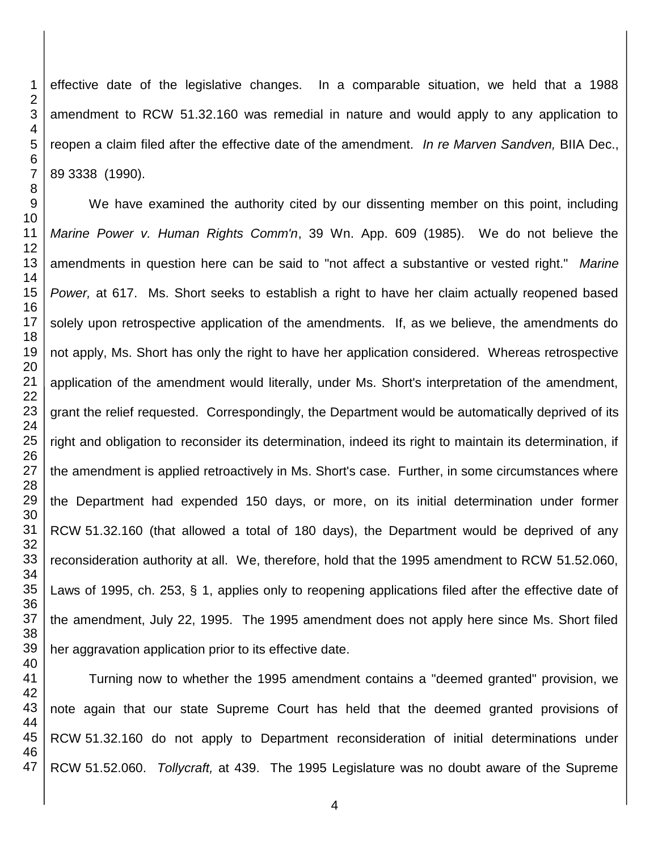effective date of the legislative changes. In a comparable situation, we held that a 1988 amendment to RCW 51.32.160 was remedial in nature and would apply to any application to reopen a claim filed after the effective date of the amendment. *In re Marven Sandven,* BIIA Dec., 89 3338 (1990).

We have examined the authority cited by our dissenting member on this point, including *Marine Power v. Human Rights Comm'n*, 39 Wn. App. 609 (1985). We do not believe the amendments in question here can be said to "not affect a substantive or vested right." *Marine Power,* at 617. Ms. Short seeks to establish a right to have her claim actually reopened based solely upon retrospective application of the amendments. If, as we believe, the amendments do not apply, Ms. Short has only the right to have her application considered. Whereas retrospective application of the amendment would literally, under Ms. Short's interpretation of the amendment, grant the relief requested. Correspondingly, the Department would be automatically deprived of its right and obligation to reconsider its determination, indeed its right to maintain its determination, if the amendment is applied retroactively in Ms. Short's case. Further, in some circumstances where the Department had expended 150 days, or more, on its initial determination under former RCW 51.32.160 (that allowed a total of 180 days), the Department would be deprived of any reconsideration authority at all. We, therefore, hold that the 1995 amendment to RCW 51.52.060, Laws of 1995, ch. 253, § 1, applies only to reopening applications filed after the effective date of the amendment, July 22, 1995. The 1995 amendment does not apply here since Ms. Short filed her aggravation application prior to its effective date.

 Turning now to whether the 1995 amendment contains a "deemed granted" provision, we note again that our state Supreme Court has held that the deemed granted provisions of RCW 51.32.160 do not apply to Department reconsideration of initial determinations under RCW 51.52.060. *Tollycraft,* at 439. The 1995 Legislature was no doubt aware of the Supreme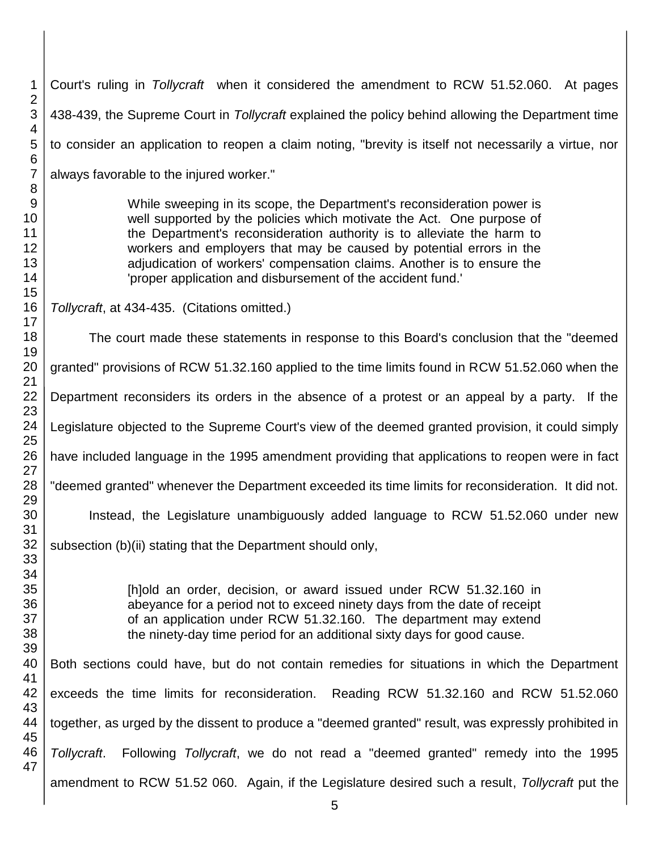Court's ruling in *Tollycraft* when it considered the amendment to RCW 51.52.060. At pages 438-439, the Supreme Court in *Tollycraft* explained the policy behind allowing the Department time to consider an application to reopen a claim noting, "brevity is itself not necessarily a virtue, nor always favorable to the injured worker." While sweeping in its scope, the Department's reconsideration power is well supported by the policies which motivate the Act. One purpose of the Department's reconsideration authority is to alleviate the harm to workers and employers that may be caused by potential errors in the adjudication of workers' compensation claims. Another is to ensure the 'proper application and disbursement of the accident fund.' *Tollycraft*, at 434-435. (Citations omitted.) The court made these statements in response to this Board's conclusion that the "deemed granted" provisions of RCW 51.32.160 applied to the time limits found in RCW 51.52.060 when the Department reconsiders its orders in the absence of a protest or an appeal by a party. If the Legislature objected to the Supreme Court's view of the deemed granted provision, it could simply have included language in the 1995 amendment providing that applications to reopen were in fact "deemed granted" whenever the Department exceeded its time limits for reconsideration. It did not. Instead, the Legislature unambiguously added language to RCW 51.52.060 under new subsection (b)(ii) stating that the Department should only, [h]old an order, decision, or award issued under RCW 51.32.160 in abeyance for a period not to exceed ninety days from the date of receipt of an application under RCW 51.32.160. The department may extend the ninety-day time period for an additional sixty days for good cause. Both sections could have, but do not contain remedies for situations in which the Department exceeds the time limits for reconsideration. Reading RCW 51.32.160 and RCW 51.52.060 together, as urged by the dissent to produce a "deemed granted" result, was expressly prohibited in *Tollycraft*. Following *Tollycraft*, we do not read a "deemed granted" remedy into the 1995 amendment to RCW 51.52 060. Again, if the Legislature desired such a result, *Tollycraft* put the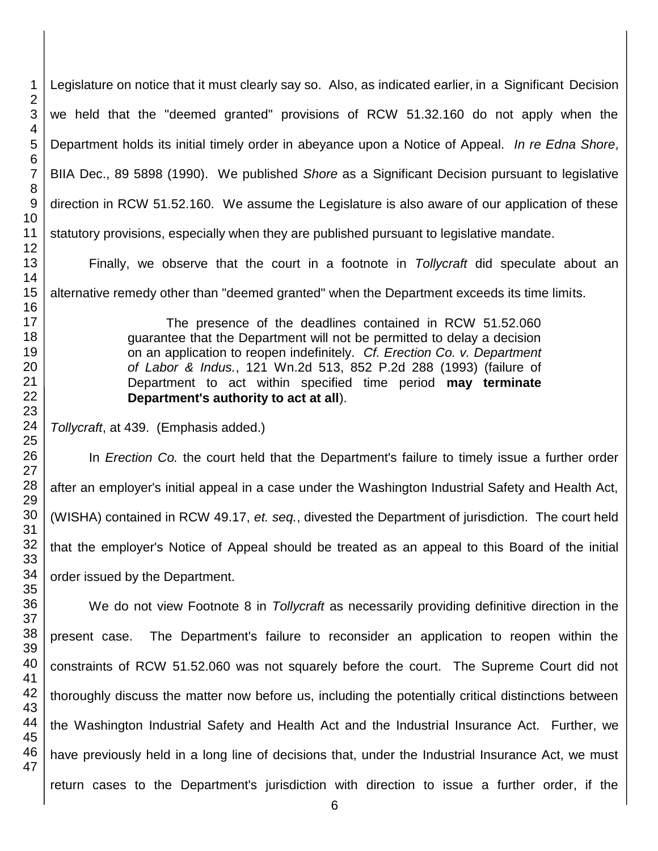Legislature on notice that it must clearly say so. Also, as indicated earlier, in a Significant Decision we held that the "deemed granted" provisions of RCW 51.32.160 do not apply when the Department holds its initial timely order in abeyance upon a Notice of Appeal. *In re Edna Shore*, BIIA Dec., 89 5898 (1990). We published *Shore* as a Significant Decision pursuant to legislative direction in RCW 51.52.160. We assume the Legislature is also aware of our application of these statutory provisions, especially when they are published pursuant to legislative mandate.

Finally, we observe that the court in a footnote in *Tollycraft* did speculate about an alternative remedy other than "deemed granted" when the Department exceeds its time limits.

> The presence of the deadlines contained in RCW 51.52.060 guarantee that the Department will not be permitted to delay a decision on an application to reopen indefinitely. *Cf. Erection Co. v. Department of Labor & Indus.*, 121 Wn.2d 513, 852 P.2d 288 (1993) (failure of Department to act within specified time period **may terminate Department's authority to act at all**).

*Tollycraft*, at 439. (Emphasis added.)

In *Erection Co.* the court held that the Department's failure to timely issue a further order after an employer's initial appeal in a case under the Washington Industrial Safety and Health Act, (WISHA) contained in RCW 49.17, *et. seq.*, divested the Department of jurisdiction. The court held that the employer's Notice of Appeal should be treated as an appeal to this Board of the initial order issued by the Department.

We do not view Footnote 8 in *Tollycraft* as necessarily providing definitive direction in the present case. The Department's failure to reconsider an application to reopen within the constraints of RCW 51.52.060 was not squarely before the court. The Supreme Court did not thoroughly discuss the matter now before us, including the potentially critical distinctions between the Washington Industrial Safety and Health Act and the Industrial Insurance Act. Further, we have previously held in a long line of decisions that, under the Industrial Insurance Act, we must return cases to the Department's jurisdiction with direction to issue a further order, if the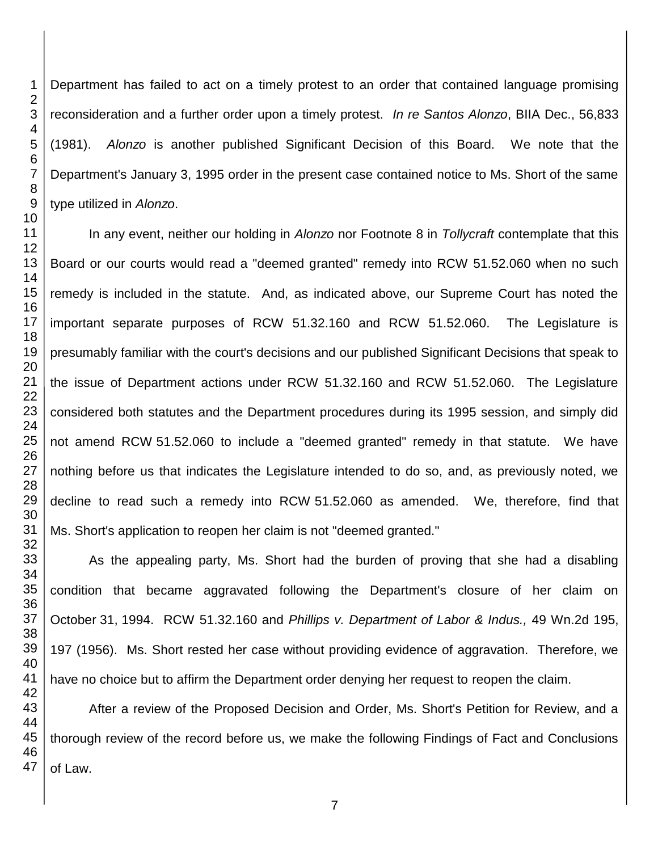Department has failed to act on a timely protest to an order that contained language promising reconsideration and a further order upon a timely protest. *In re Santos Alonzo*, BIIA Dec., 56,833 (1981). *Alonzo* is another published Significant Decision of this Board. We note that the Department's January 3, 1995 order in the present case contained notice to Ms. Short of the same type utilized in *Alonzo*.

In any event, neither our holding in *Alonzo* nor Footnote 8 in *Tollycraft* contemplate that this Board or our courts would read a "deemed granted" remedy into RCW 51.52.060 when no such remedy is included in the statute. And, as indicated above, our Supreme Court has noted the important separate purposes of RCW 51.32.160 and RCW 51.52.060. The Legislature is presumably familiar with the court's decisions and our published Significant Decisions that speak to the issue of Department actions under RCW 51.32.160 and RCW 51.52.060. The Legislature considered both statutes and the Department procedures during its 1995 session, and simply did not amend RCW 51.52.060 to include a "deemed granted" remedy in that statute. We have nothing before us that indicates the Legislature intended to do so, and, as previously noted, we decline to read such a remedy into RCW 51.52.060 as amended. We, therefore, find that Ms. Short's application to reopen her claim is not "deemed granted."

As the appealing party, Ms. Short had the burden of proving that she had a disabling condition that became aggravated following the Department's closure of her claim on October 31, 1994. RCW 51.32.160 and *Phillips v. Department of Labor & Indus.,* 49 Wn.2d 195, 197 (1956). Ms. Short rested her case without providing evidence of aggravation. Therefore, we have no choice but to affirm the Department order denying her request to reopen the claim.

After a review of the Proposed Decision and Order, Ms. Short's Petition for Review, and a thorough review of the record before us, we make the following Findings of Fact and Conclusions of Law.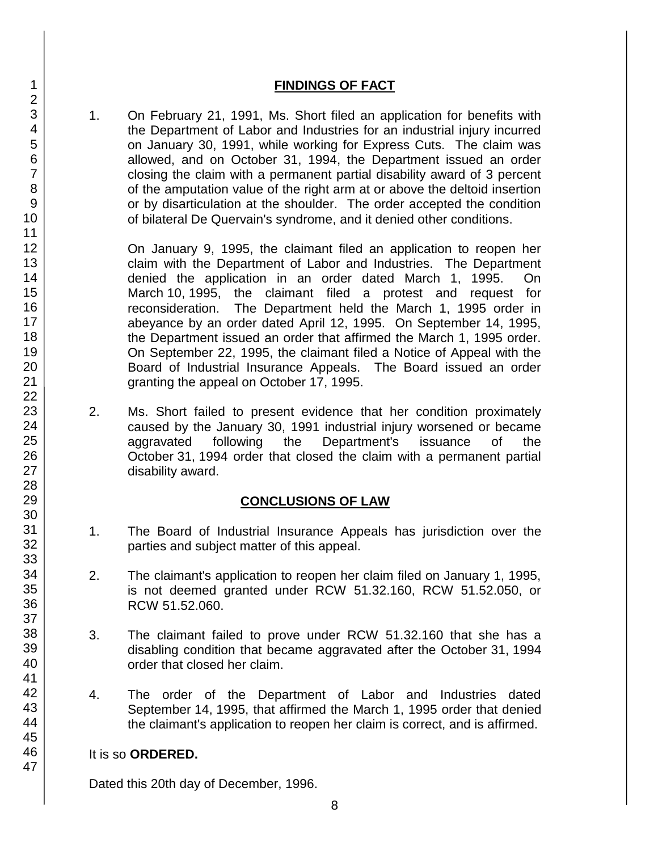### **FINDINGS OF FACT**

1. On February 21, 1991, Ms. Short filed an application for benefits with the Department of Labor and Industries for an industrial injury incurred on January 30, 1991, while working for Express Cuts. The claim was allowed, and on October 31, 1994, the Department issued an order closing the claim with a permanent partial disability award of 3 percent of the amputation value of the right arm at or above the deltoid insertion or by disarticulation at the shoulder. The order accepted the condition of bilateral De Quervain's syndrome, and it denied other conditions.

On January 9, 1995, the claimant filed an application to reopen her claim with the Department of Labor and Industries. The Department denied the application in an order dated March 1, 1995. On March 10, 1995, the claimant filed a protest and request for reconsideration. The Department held the March 1, 1995 order in abeyance by an order dated April 12, 1995. On September 14, 1995, the Department issued an order that affirmed the March 1, 1995 order. On September 22, 1995, the claimant filed a Notice of Appeal with the Board of Industrial Insurance Appeals. The Board issued an order granting the appeal on October 17, 1995.

2. Ms. Short failed to present evidence that her condition proximately caused by the January 30, 1991 industrial injury worsened or became aggravated following the Department's issuance of the October 31, 1994 order that closed the claim with a permanent partial disability award.

## **CONCLUSIONS OF LAW**

- 1. The Board of Industrial Insurance Appeals has jurisdiction over the parties and subject matter of this appeal.
- 2. The claimant's application to reopen her claim filed on January 1, 1995, is not deemed granted under RCW 51.32.160, RCW 51.52.050, or RCW 51.52.060.
- 3. The claimant failed to prove under RCW 51.32.160 that she has a disabling condition that became aggravated after the October 31, 1994 order that closed her claim.
- 4. The order of the Department of Labor and Industries dated September 14, 1995, that affirmed the March 1, 1995 order that denied the claimant's application to reopen her claim is correct, and is affirmed.

# It is so **ORDERED.**

Dated this 20th day of December, 1996.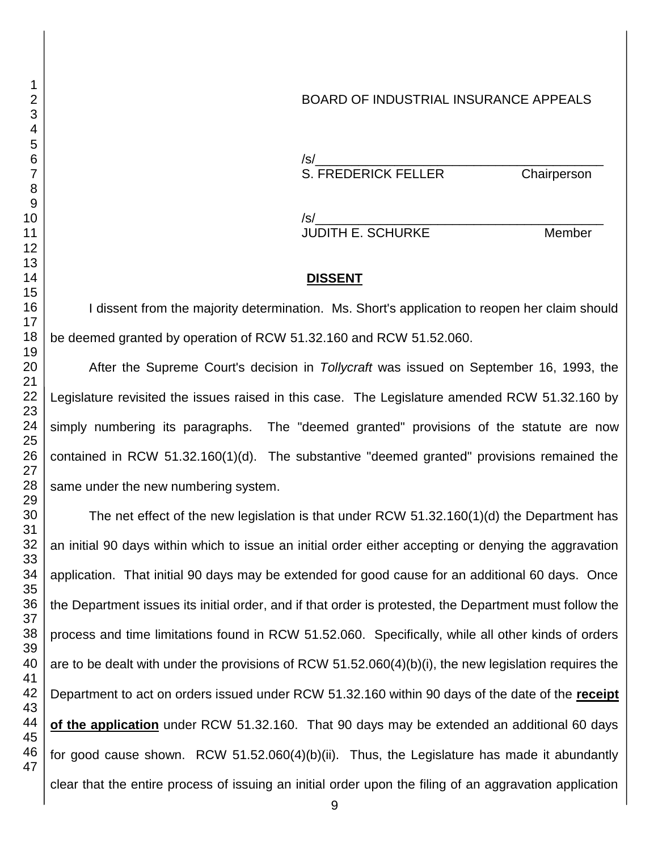### BOARD OF INDUSTRIAL INSURANCE APPEALS

/s/\_\_\_\_\_\_\_\_\_\_\_\_\_\_\_\_\_\_\_\_\_\_\_\_\_\_\_\_\_\_\_\_\_\_\_\_\_\_\_\_ S. FREDERICK FELLER Chairperson

/s/\_\_\_\_\_\_\_\_\_\_\_\_\_\_\_\_\_\_\_\_\_\_\_\_\_\_\_\_\_\_\_\_\_\_\_\_\_\_\_\_ JUDITH E. SCHURKE Member

#### **DISSENT**

I dissent from the majority determination. Ms. Short's application to reopen her claim should be deemed granted by operation of RCW 51.32.160 and RCW 51.52.060.

After the Supreme Court's decision in *Tollycraft* was issued on September 16, 1993, the Legislature revisited the issues raised in this case. The Legislature amended RCW 51.32.160 by simply numbering its paragraphs. The "deemed granted" provisions of the statute are now contained in RCW 51.32.160(1)(d). The substantive "deemed granted" provisions remained the same under the new numbering system.

The net effect of the new legislation is that under RCW 51.32.160(1)(d) the Department has an initial 90 days within which to issue an initial order either accepting or denying the aggravation application. That initial 90 days may be extended for good cause for an additional 60 days. Once the Department issues its initial order, and if that order is protested, the Department must follow the process and time limitations found in RCW 51.52.060. Specifically, while all other kinds of orders are to be dealt with under the provisions of RCW 51.52.060(4)(b)(i), the new legislation requires the Department to act on orders issued under RCW 51.32.160 within 90 days of the date of the **receipt of the application** under RCW 51.32.160. That 90 days may be extended an additional 60 days for good cause shown. RCW 51.52.060(4)(b)(ii). Thus, the Legislature has made it abundantly clear that the entire process of issuing an initial order upon the filing of an aggravation application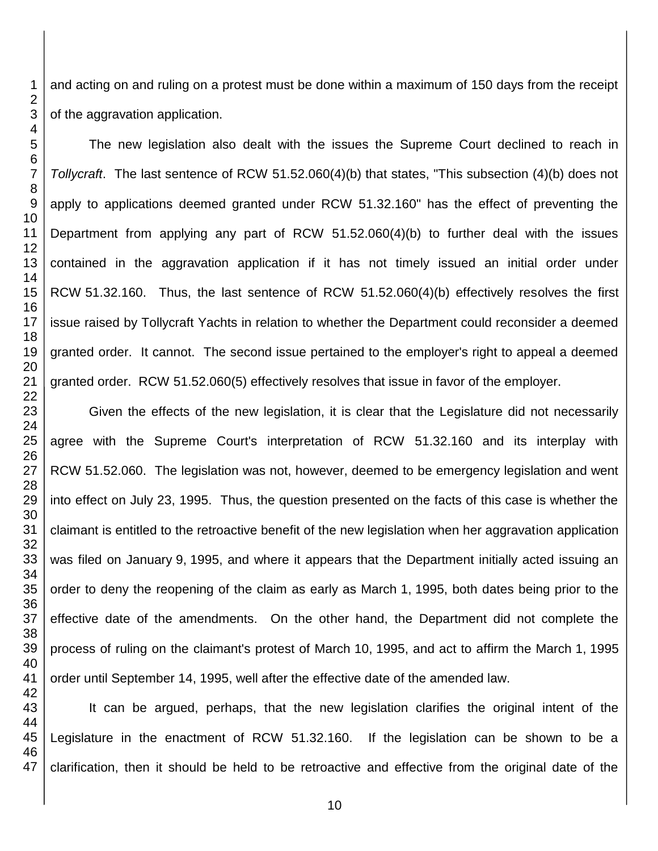and acting on and ruling on a protest must be done within a maximum of 150 days from the receipt of the aggravation application.

The new legislation also dealt with the issues the Supreme Court declined to reach in *Tollycraft*. The last sentence of RCW 51.52.060(4)(b) that states, "This subsection (4)(b) does not apply to applications deemed granted under RCW 51.32.160" has the effect of preventing the Department from applying any part of RCW 51.52.060(4)(b) to further deal with the issues contained in the aggravation application if it has not timely issued an initial order under RCW 51.32.160. Thus, the last sentence of RCW 51.52.060(4)(b) effectively resolves the first issue raised by Tollycraft Yachts in relation to whether the Department could reconsider a deemed granted order. It cannot. The second issue pertained to the employer's right to appeal a deemed granted order. RCW 51.52.060(5) effectively resolves that issue in favor of the employer.

Given the effects of the new legislation, it is clear that the Legislature did not necessarily agree with the Supreme Court's interpretation of RCW 51.32.160 and its interplay with RCW 51.52.060. The legislation was not, however, deemed to be emergency legislation and went into effect on July 23, 1995. Thus, the question presented on the facts of this case is whether the claimant is entitled to the retroactive benefit of the new legislation when her aggravation application was filed on January 9, 1995, and where it appears that the Department initially acted issuing an order to deny the reopening of the claim as early as March 1, 1995, both dates being prior to the effective date of the amendments. On the other hand, the Department did not complete the process of ruling on the claimant's protest of March 10, 1995, and act to affirm the March 1, 1995 order until September 14, 1995, well after the effective date of the amended law.

 It can be argued, perhaps, that the new legislation clarifies the original intent of the Legislature in the enactment of RCW 51.32.160. If the legislation can be shown to be a clarification, then it should be held to be retroactive and effective from the original date of the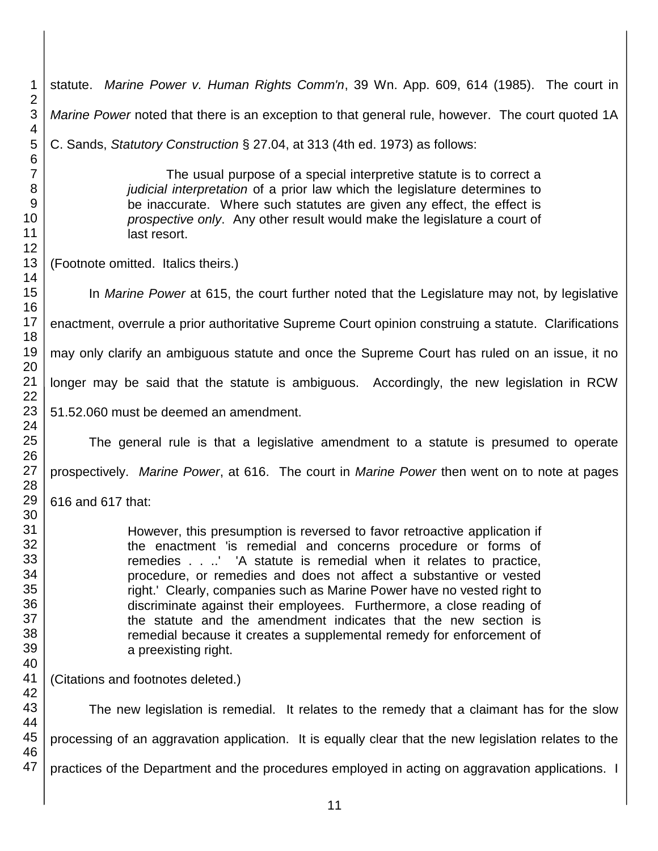| 1                                                              | statute. Marine Power v. Human Rights Comm'n, 39 Wn. App. 609, 614 (1985). The court in                                                                                                                                                                                                                                                                                                                                                                                                                                                                                                                   |  |  |
|----------------------------------------------------------------|-----------------------------------------------------------------------------------------------------------------------------------------------------------------------------------------------------------------------------------------------------------------------------------------------------------------------------------------------------------------------------------------------------------------------------------------------------------------------------------------------------------------------------------------------------------------------------------------------------------|--|--|
| $\overline{2}$<br>3                                            | Marine Power noted that there is an exception to that general rule, however. The court quoted 1A                                                                                                                                                                                                                                                                                                                                                                                                                                                                                                          |  |  |
| 4<br>5                                                         | C. Sands, Statutory Construction § 27.04, at 313 (4th ed. 1973) as follows:                                                                                                                                                                                                                                                                                                                                                                                                                                                                                                                               |  |  |
| $\,6$<br>$\overline{7}$<br>$\bf 8$<br>$9\,$<br>10<br>11<br>12  | The usual purpose of a special interpretive statute is to correct a<br>judicial interpretation of a prior law which the legislature determines to<br>be inaccurate. Where such statutes are given any effect, the effect is<br>prospective only. Any other result would make the legislature a court of<br>last resort.                                                                                                                                                                                                                                                                                   |  |  |
| 13<br>14                                                       | (Footnote omitted. Italics theirs.)                                                                                                                                                                                                                                                                                                                                                                                                                                                                                                                                                                       |  |  |
| 15<br>16                                                       | In Marine Power at 615, the court further noted that the Legislature may not, by legislative                                                                                                                                                                                                                                                                                                                                                                                                                                                                                                              |  |  |
| 17<br>18                                                       | enactment, overrule a prior authoritative Supreme Court opinion construing a statute. Clarifications                                                                                                                                                                                                                                                                                                                                                                                                                                                                                                      |  |  |
| 19<br>20                                                       | may only clarify an ambiguous statute and once the Supreme Court has ruled on an issue, it no                                                                                                                                                                                                                                                                                                                                                                                                                                                                                                             |  |  |
| 21<br>22                                                       | longer may be said that the statute is ambiguous. Accordingly, the new legislation in RCW                                                                                                                                                                                                                                                                                                                                                                                                                                                                                                                 |  |  |
| 23<br>24                                                       | 51.52.060 must be deemed an amendment.                                                                                                                                                                                                                                                                                                                                                                                                                                                                                                                                                                    |  |  |
| 25<br>26                                                       | The general rule is that a legislative amendment to a statute is presumed to operate                                                                                                                                                                                                                                                                                                                                                                                                                                                                                                                      |  |  |
| 27<br>28                                                       | prospectively. Marine Power, at 616. The court in Marine Power then went on to note at pages                                                                                                                                                                                                                                                                                                                                                                                                                                                                                                              |  |  |
| 29                                                             | 616 and 617 that:                                                                                                                                                                                                                                                                                                                                                                                                                                                                                                                                                                                         |  |  |
| 30<br>31<br>32<br>33<br>34<br>35<br>36<br>37<br>38<br>39<br>40 | However, this presumption is reversed to favor retroactive application if<br>the enactment 'is remedial and concerns procedure or forms of<br>remedies.' 'A statute is remedial when it relates to practice,<br>procedure, or remedies and does not affect a substantive or vested<br>right.' Clearly, companies such as Marine Power have no vested right to<br>discriminate against their employees. Furthermore, a close reading of<br>the statute and the amendment indicates that the new section is<br>remedial because it creates a supplemental remedy for enforcement of<br>a preexisting right. |  |  |
| 41<br>42                                                       | (Citations and footnotes deleted.)                                                                                                                                                                                                                                                                                                                                                                                                                                                                                                                                                                        |  |  |
| 43<br>44                                                       | The new legislation is remedial. It relates to the remedy that a claimant has for the slow                                                                                                                                                                                                                                                                                                                                                                                                                                                                                                                |  |  |
| 45<br>46                                                       | processing of an aggravation application. It is equally clear that the new legislation relates to the                                                                                                                                                                                                                                                                                                                                                                                                                                                                                                     |  |  |
| 47                                                             | practices of the Department and the procedures employed in acting on aggravation applications. I                                                                                                                                                                                                                                                                                                                                                                                                                                                                                                          |  |  |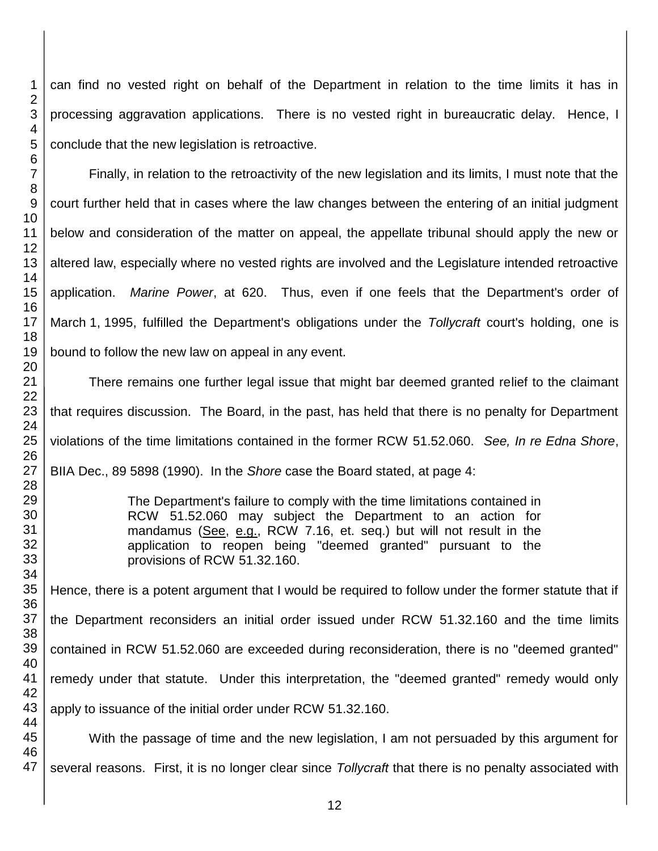can find no vested right on behalf of the Department in relation to the time limits it has in processing aggravation applications. There is no vested right in bureaucratic delay. Hence, I conclude that the new legislation is retroactive.

Finally, in relation to the retroactivity of the new legislation and its limits, I must note that the court further held that in cases where the law changes between the entering of an initial judgment below and consideration of the matter on appeal, the appellate tribunal should apply the new or altered law, especially where no vested rights are involved and the Legislature intended retroactive application. *Marine Power*, at 620. Thus, even if one feels that the Department's order of March 1, 1995, fulfilled the Department's obligations under the *Tollycraft* court's holding, one is bound to follow the new law on appeal in any event.

There remains one further legal issue that might bar deemed granted relief to the claimant that requires discussion. The Board, in the past, has held that there is no penalty for Department violations of the time limitations contained in the former RCW 51.52.060. *See, In re Edna Shore*, BIIA Dec., 89 5898 (1990). In the *Shore* case the Board stated, at page 4:

> The Department's failure to comply with the time limitations contained in RCW 51.52.060 may subject the Department to an action for mandamus (See, e.g., RCW 7.16, et. seq.) but will not result in the application to reopen being "deemed granted" pursuant to the provisions of RCW 51.32.160.

Hence, there is a potent argument that I would be required to follow under the former statute that if the Department reconsiders an initial order issued under RCW 51.32.160 and the time limits contained in RCW 51.52.060 are exceeded during reconsideration, there is no "deemed granted" remedy under that statute. Under this interpretation, the "deemed granted" remedy would only apply to issuance of the initial order under RCW 51.32.160.

With the passage of time and the new legislation, I am not persuaded by this argument for several reasons. First, it is no longer clear since *Tollycraft* that there is no penalty associated with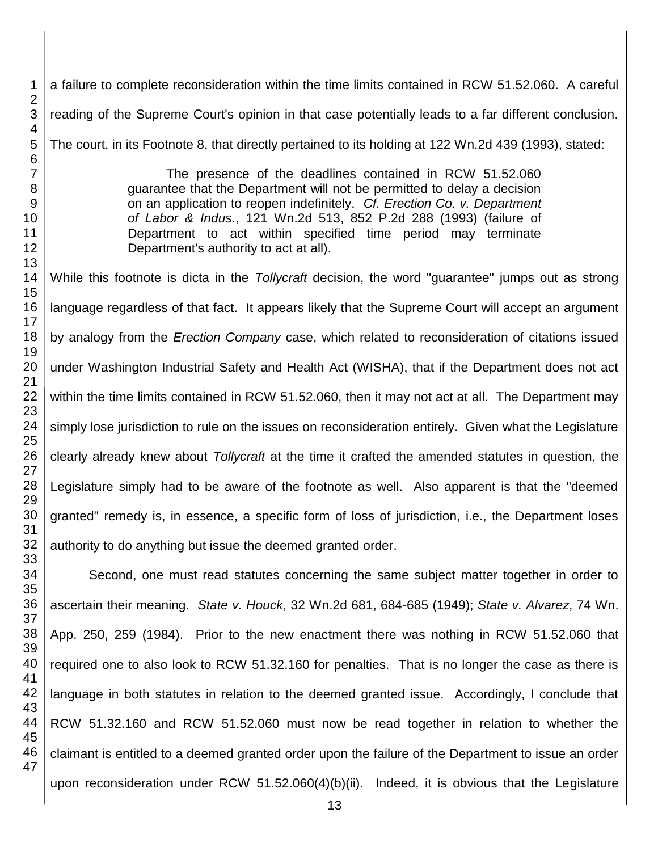a failure to complete reconsideration within the time limits contained in RCW 51.52.060. A careful reading of the Supreme Court's opinion in that case potentially leads to a far different conclusion. The court, in its Footnote 8, that directly pertained to its holding at 122 Wn.2d 439 (1993), stated:

> The presence of the deadlines contained in RCW 51.52.060 guarantee that the Department will not be permitted to delay a decision on an application to reopen indefinitely. *Cf. Erection Co. v. Department of Labor & Indus.*, 121 Wn.2d 513, 852 P.2d 288 (1993) (failure of Department to act within specified time period may terminate Department's authority to act at all).

While this footnote is dicta in the *Tollycraft* decision, the word "guarantee" jumps out as strong language regardless of that fact. It appears likely that the Supreme Court will accept an argument by analogy from the *Erection Company* case, which related to reconsideration of citations issued under Washington Industrial Safety and Health Act (WISHA), that if the Department does not act within the time limits contained in RCW 51.52.060, then it may not act at all. The Department may simply lose jurisdiction to rule on the issues on reconsideration entirely. Given what the Legislature clearly already knew about *Tollycraft* at the time it crafted the amended statutes in question, the Legislature simply had to be aware of the footnote as well. Also apparent is that the "deemed granted" remedy is, in essence, a specific form of loss of jurisdiction, i.e., the Department loses authority to do anything but issue the deemed granted order.

Second, one must read statutes concerning the same subject matter together in order to ascertain their meaning. *State v. Houck*, 32 Wn.2d 681, 684-685 (1949); *State v. Alvarez*, 74 Wn. App. 250, 259 (1984). Prior to the new enactment there was nothing in RCW 51.52.060 that required one to also look to RCW 51.32.160 for penalties. That is no longer the case as there is language in both statutes in relation to the deemed granted issue. Accordingly, I conclude that RCW 51.32.160 and RCW 51.52.060 must now be read together in relation to whether the claimant is entitled to a deemed granted order upon the failure of the Department to issue an order upon reconsideration under RCW 51.52.060(4)(b)(ii). Indeed, it is obvious that the Legislature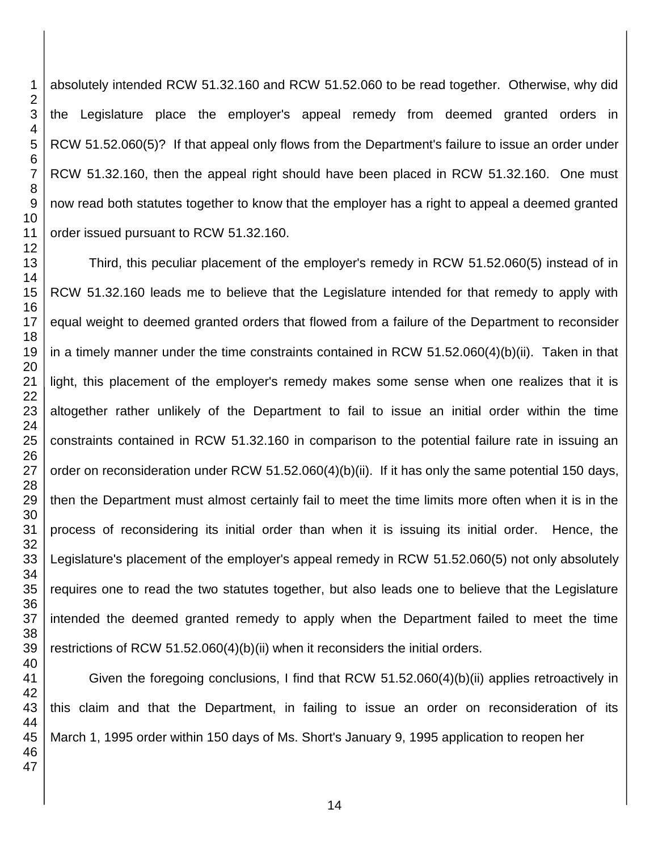absolutely intended RCW 51.32.160 and RCW 51.52.060 to be read together. Otherwise, why did the Legislature place the employer's appeal remedy from deemed granted orders in RCW 51.52.060(5)? If that appeal only flows from the Department's failure to issue an order under RCW 51.32.160, then the appeal right should have been placed in RCW 51.32.160. One must now read both statutes together to know that the employer has a right to appeal a deemed granted order issued pursuant to RCW 51.32.160.

Third, this peculiar placement of the employer's remedy in RCW 51.52.060(5) instead of in RCW 51.32.160 leads me to believe that the Legislature intended for that remedy to apply with equal weight to deemed granted orders that flowed from a failure of the Department to reconsider in a timely manner under the time constraints contained in RCW 51.52.060(4)(b)(ii). Taken in that light, this placement of the employer's remedy makes some sense when one realizes that it is altogether rather unlikely of the Department to fail to issue an initial order within the time constraints contained in RCW 51.32.160 in comparison to the potential failure rate in issuing an order on reconsideration under RCW 51.52.060(4)(b)(ii). If it has only the same potential 150 days, then the Department must almost certainly fail to meet the time limits more often when it is in the process of reconsidering its initial order than when it is issuing its initial order. Hence, the Legislature's placement of the employer's appeal remedy in RCW 51.52.060(5) not only absolutely requires one to read the two statutes together, but also leads one to believe that the Legislature intended the deemed granted remedy to apply when the Department failed to meet the time restrictions of RCW 51.52.060(4)(b)(ii) when it reconsiders the initial orders.

Given the foregoing conclusions, I find that RCW 51.52.060(4)(b)(ii) applies retroactively in this claim and that the Department, in failing to issue an order on reconsideration of its March 1, 1995 order within 150 days of Ms. Short's January 9, 1995 application to reopen her